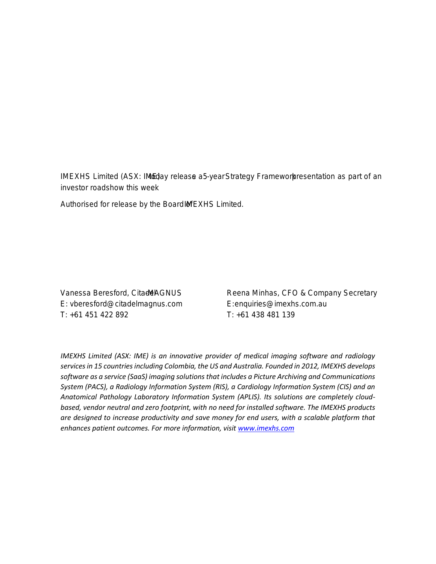21 March2022

## ASX ANNOUNCEMENT

## **IMEXHS-year Strategy Presentation**

IMEXHS Limited (ASX: Itd Bay releasen 5-year Strategy Framework sentation as part of an investor roadshow this week

Authorised for release by the Bolare CAMEX of Scimited.

- ENDS -

For more information, please contact:

### Media and Investor Relations **Business Inquiries**

E: vberesford@citadelmagnus.com E: enquiries@imexhs.com.au T: +61 451 422 892 T: +61 438 481 139

Vanessa Beresford, Citade GNUS Reena Minhas, CFO & Company Secretary

## About IMEXHS

*IMEXHS Limited (ASX: IME) is an innovative provider of medical imaging software and radiology services in 15 countries including Colombia, the US and Australia. Founded in 2012, IMEXHS develops software as a service (SaaS) imaging solutions that includes a Picture Archiving and Communications System (PACS), a Radiology Information System (RIS), a Cardiology Information System (CIS) and an Anatomical Pathology Laboratory Information System (APLIS). Its solutions are completely cloudbased, vendor neutral and zero footprint, with no need for installed software. The IMEXHS products are designed to increase productivity and save money for end users, with a scalable platform that enhances patient outcomes. For more information, visit www.imexhs.com*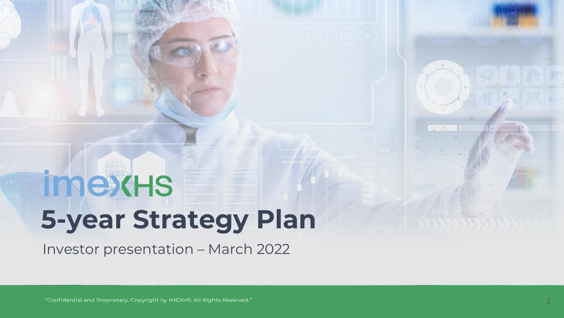# **imexHS 5-year Strategy Plan**

Investor presentation – March 2022

"Confidential and Proprietary. Copyright by IMEXHS. All Rights Reserved."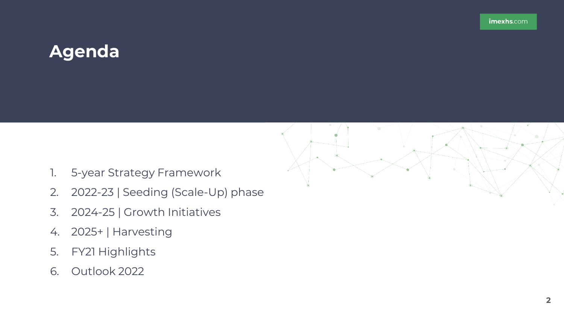## **Agenda**



- 1. 5-year Strategy Framework
- 2. 2022-23 | Seeding (Scale-Up) phase
- 3. 2024-25 | Growth Initiatives
- 4. 2025+ | Harvesting
- 5. FY21 Highlights
- 6. Outlook 2022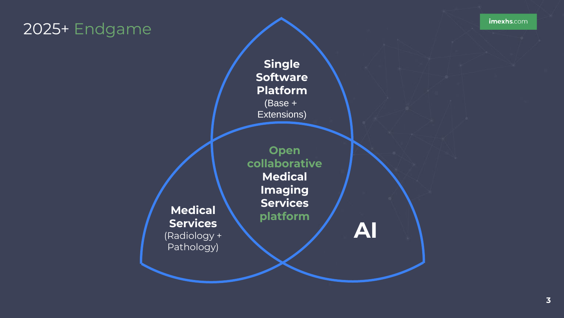## 2025+ Endgame

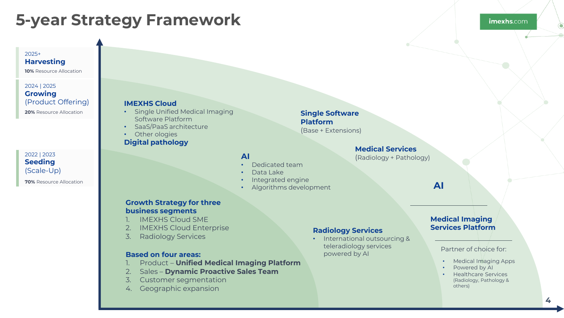## **5-year Strategy Framework**

#### 2025+ **Harvesting**

**10%** Resource Allocation

#### **20%** Resource Allocation 2024 | 2025 **Growing** (Product Offering)

2022 | 2023 **Seeding**  (Scale-Up)

**70%** Resource Allocation

#### **IMEXHS Cloud**

- Single Unified Medical Imaging Software Platform
- SaaS/PaaS architecture
- Other ologies **Digital pathology**

#### **AI**

- Dedicated team
- Data Lake
- Integrated engine
- Algorithms development

#### **Growth Strategy for three business segments**

- 1. IMEXHS Cloud SME
- 2. IMEXHS Cloud Enterprise
- 3. Radiology Services

#### **Based on four areas: powered by AI Based on four areas: powered by AI**

- 1. Product **Unified Medical Imaging Platform**
- 2. Sales **Dynamic Proactive Sales Team**
- 3. Customer segmentation
- 4. Geographic expansion

#### **Radiology Services**

**Single Software Platform**

(Base + Extensions)

• International outsourcing & teleradiology services

**Medical Services** (Radiology + Pathology)

#### **Medical Imaging Services Platform**

**AI**

#### Partner of choice for:

- Medical Imaging Apps
- Powered by AI
- Healthcare Services (Radiology, Pathology & others)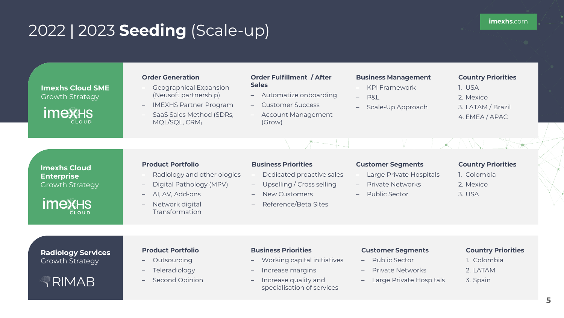## 2022 | 2023 **Seeding** (Scale-up)

**Imexhs Cloud SME**  Growth Strategy

**imex**HS **CLOUD** 

#### **Order Generation**

– Geographical Expansion (Neusoft partnership)

– IMEXHS Partner Program

- SaaS Sales Method (SDRs, MQL/SQL, CRM)
- **Order Fulfillment / After Sales**
- Automatize onboarding
- Customer Success
- Account Management (Grow)

#### **Business Management**

- KPI Framework
- P&L
- Scale-Up Approach

#### **Country Priorities**

- 1. USA 2. Mexico
- 
- 3. LATAM / Brazil
- 4. EMEA / APAC

**Imexhs Cloud Enterprise**  Growth Strategy

**imexHS CLOUD** 

#### **Product Portfolio**

- Radiology and other ologies
- Digital Pathology (MPV)
- AI, AV, Add-ons
- Network digital Transformation

#### **Business Priorities**

- Dedicated proactive sales
- Upselling / Cross selling
- New Customers
- Reference/Beta Sites

#### **Customer Segments**

- Large Private Hospitals
	- Private Networks
- Public Sector

#### **Country Priorities**

- 1. Colombia
- 2. Mexico
- 3. USA

#### **Radiology Services**  Growth Strategy

 $\sqrt{\mathsf{RIMAB}}$ 

#### **Product Portfolio**

- Outsourcing
- Teleradiology
- Second Opinion

#### **Business Priorities**

- Working capital initiatives
- Increase margins
- Increase quality and specialisation of services

#### **Customer Segments**

- Public Sector
- Private Networks
- Large Private Hospitals

#### **Country Priorities**

- 1. Colombia
- 2. LATAM 3. Spain
-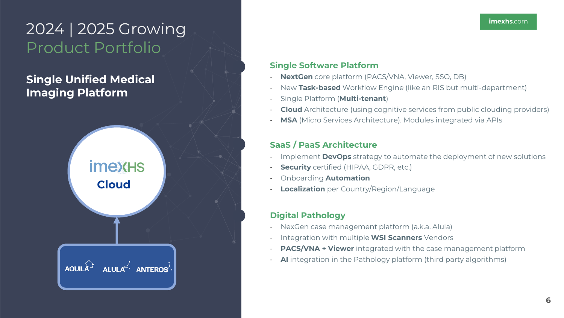## 2024 | 2025 Growing Product Portfolio

## **Single Unified Medical Imaging Platform**



### **Single Software Platform**

- **NextGen** core platform (PACS/VNA, Viewer, SSO, DB)
- New **Task-based** Workflow Engine (like an RIS but multi-department)
- Single Platform (**Multi-tenant**)
- **Cloud** Architecture (using cognitive services from public clouding providers)
- **MSA** (Micro Services Architecture). Modules integrated via APIs

### **SaaS / PaaS Architecture**

- Implement **DevOps** strategy to automate the deployment of new solutions
- **Security** certified (HIPAA, GDPR, etc.)
- Onboarding **Automation**
- **Localization** per Country/Region/Language

### **Digital Pathology**

- NexGen case management platform (a.k.a. Alula)
- Integration with multiple **WSI Scanners** Vendors
- **PACS/VNA + Viewer** integrated with the case management platform
- **AI** integration in the Pathology platform (third party algorithms)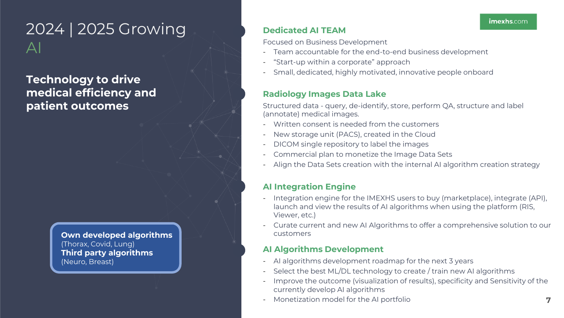## 2024 | 2025 Growing  $\Delta$

**Technology to drive medical efficiency and patient outcomes**

> **Own developed algorithms** (Thorax, Covid, Lung) **Third party algorithms** (Neuro, Breast)

### **Dedicated AI TEAM**

Focused on Business Development

- Team accountable for the end-to-end business development
- "Start-up within a corporate" approach
- Small, dedicated, highly motivated, innovative people onboard

### **Radiology Images Data Lake**

Structured data - query, de-identify, store, perform QA, structure and label (annotate) medical images.

- Written consent is needed from the customers
- New storage unit (PACS), created in the Cloud
- DICOM single repository to label the images
- Commercial plan to monetize the Image Data Sets
- Align the Data Sets creation with the internal AI algorithm creation strategy

### **AI Integration Engine**

- Integration engine for the IMEXHS users to buy (marketplace), integrate (API), launch and view the results of AI algorithms when using the platform (RIS, Viewer, etc.)
- Curate current and new AI Algorithms to offer a comprehensive solution to our customers

### **AI Algorithms Development**

- AI algorithms development roadmap for the next 3 years
- Select the best ML/DL technology to create / train new AI algorithms
- Improve the outcome (visualization of results), specificity and Sensitivity of the currently develop AI algorithms
- Monetization model for the AI portfolio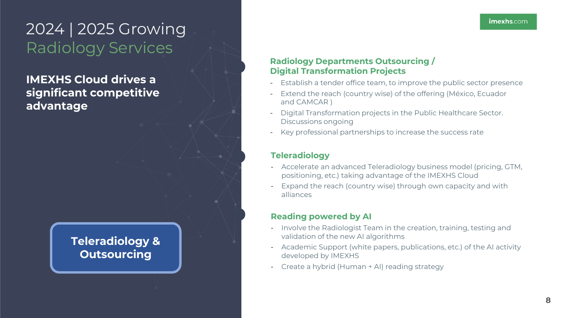## 2024 | 2025 Growing Radiology Services

**IMEXHS Cloud drives a significant competitive advantage**

## **Teleradiology & Outsourcing**

### **Radiology Departments Outsourcing / Digital Transformation Projects**

- Establish a tender office team, to improve the public sector presence
- Extend the reach (country wise) of the offering (México, Ecuador and CAMCAR )
- Digital Transformation projects in the Public Healthcare Sector. Discussions ongoing
- Key professional partnerships to increase the success rate

### **Teleradiology**

- Accelerate an advanced Teleradiology business model (pricing, GTM, positioning, etc.) taking advantage of the IMEXHS Cloud
- Expand the reach (country wise) through own capacity and with alliances

### **Reading powered by AI**

- Involve the Radiologist Team in the creation, training, testing and validation of the new AI algorithms
- Academic Support (white papers, publications, etc.) of the AI activity developed by IMEXHS
- Create a hybrid (Human + AI) reading strategy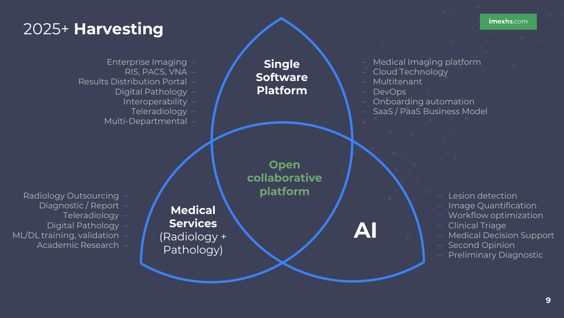## 2025+ **Harvesting**

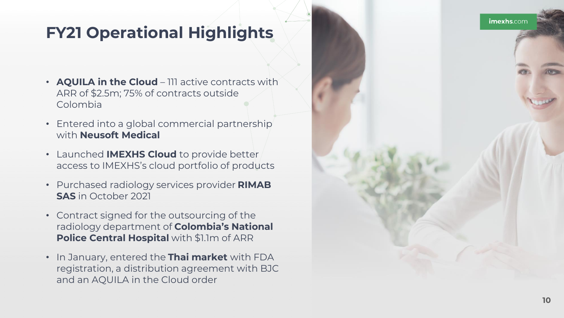## **FY21 Operational Highlights**

- **AQUILA in the Cloud**  111 active contracts with ARR of \$2.5m; 75% of contracts outside Colombia
- Entered into a global commercial partnership with **Neusoft Medical**
- Launched **IMEXHS Cloud** to provide better access to IMEXHS's cloud portfolio of products
- Purchased radiology services provider **RIMAB SAS** in October 2021
- Contract signed for the outsourcing of the radiology department of **Colombia's National Police Central Hospital** with \$1.1m of ARR
- In January, entered the **Thai market** with FDA registration, a distribution agreement with BJC and an AQUILA in the Cloud order

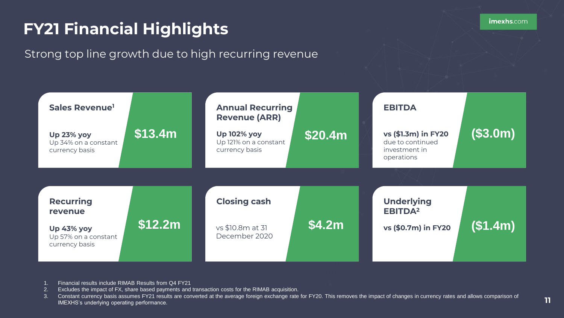## **FY21 Financial Highlights**

## Strong top line growth due to high recurring revenue



- 1. Financial results include RIMAB Results from Q4 FY21
- 2. Excludes the impact of FX, share based payments and transaction costs for the RIMAB acquisition.
- 3. Constant currency basis assumes FY21 results are converted at the average foreign exchange rate for FY20. This removes the impact of changes in currency rates and allows comparison of IMEXHS's underlying operating performance.

**11**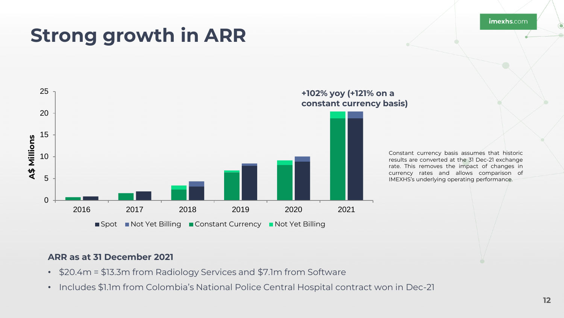imexhs.com

## **Strong growth in ARR**



#### **+102% yoy (+121% on a constant currency basis)**

Constant currency basis assumes that historic results are converted at the 31 Dec-21 exchange rate. This removes the impact of changes in currency rates and allows comparison of IMEXHS's underlying operating performance.

### **ARR as at 31 December 2021**

- \$20.4m = \$13.3m from Radiology Services and \$7.1m from Software
- Includes \$1.1m from Colombia's National Police Central Hospital contract won in Dec-21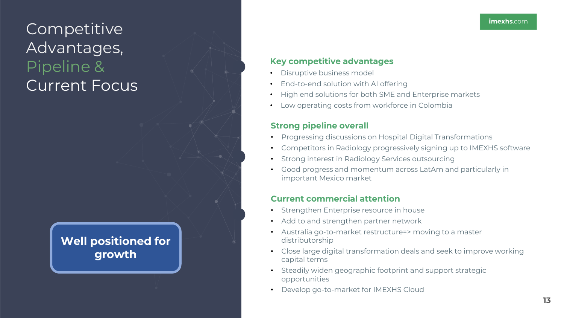## **Competitive** Advantages, Pipeline & Current Focus

## **Well positioned for growth**

### **Key competitive advantages**

- Disruptive business model
- End-to-end solution with AI offering
- High end solutions for both SME and Enterprise markets
- Low operating costs from workforce in Colombia

### **Strong pipeline overall**

- Progressing discussions on Hospital Digital Transformations
- Competitors in Radiology progressively signing up to IMEXHS software
- Strong interest in Radiology Services outsourcing
- Good progress and momentum across LatAm and particularly in important Mexico market

### **Current commercial attention**

- Strengthen Enterprise resource in house
- Add to and strengthen partner network
- Australia go-to-market restructure=> moving to a master distributorship
- Close large digital transformation deals and seek to improve working capital terms
- Steadily widen geographic footprint and support strategic opportunities
- Develop go-to-market for IMEXHS Cloud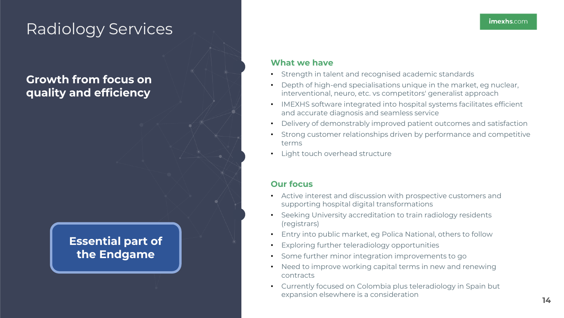## Radiology Services

## **Growth from focus on quality and efficiency**

## **Essential part of the Endgame**

### **What we have**

- Strength in talent and recognised academic standards
- Depth of high-end specialisations unique in the market, eg nuclear, interventional, neuro, etc. vs competitors' generalist approach
- IMEXHS software integrated into hospital systems facilitates efficient and accurate diagnosis and seamless service
- Delivery of demonstrably improved patient outcomes and satisfaction
- Strong customer relationships driven by performance and competitive terms
- Light touch overhead structure

### **Our focus**

- Active interest and discussion with prospective customers and supporting hospital digital transformations
- Seeking University accreditation to train radiology residents (registrars)
- Entry into public market, eg Polica National, others to follow
- Exploring further teleradiology opportunities
- Some further minor integration improvements to go
- Need to improve working capital terms in new and renewing contracts
- Currently focused on Colombia plus teleradiology in Spain but expansion elsewhere is a consideration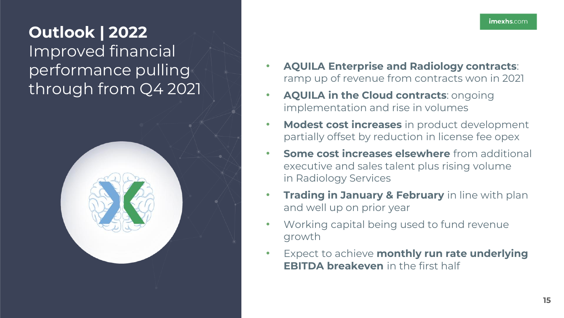## **Outlook | 2022** Improved financial performance pulling through from Q4 2021



- **AQUILA Enterprise and Radiology contracts**: ramp up of revenue from contracts won in 2021
- **AQUILA in the Cloud contracts**: ongoing implementation and rise in volumes
- **Modest cost increases** in product development partially offset by reduction in license fee opex
- **Some cost increases elsewhere** from additional executive and sales talent plus rising volume in Radiology Services
- **Trading in January & February** in line with plan and well up on prior year
- Working capital being used to fund revenue growth
- Expect to achieve **monthly run rate underlying EBITDA breakeven** in the first half

imexhs.com